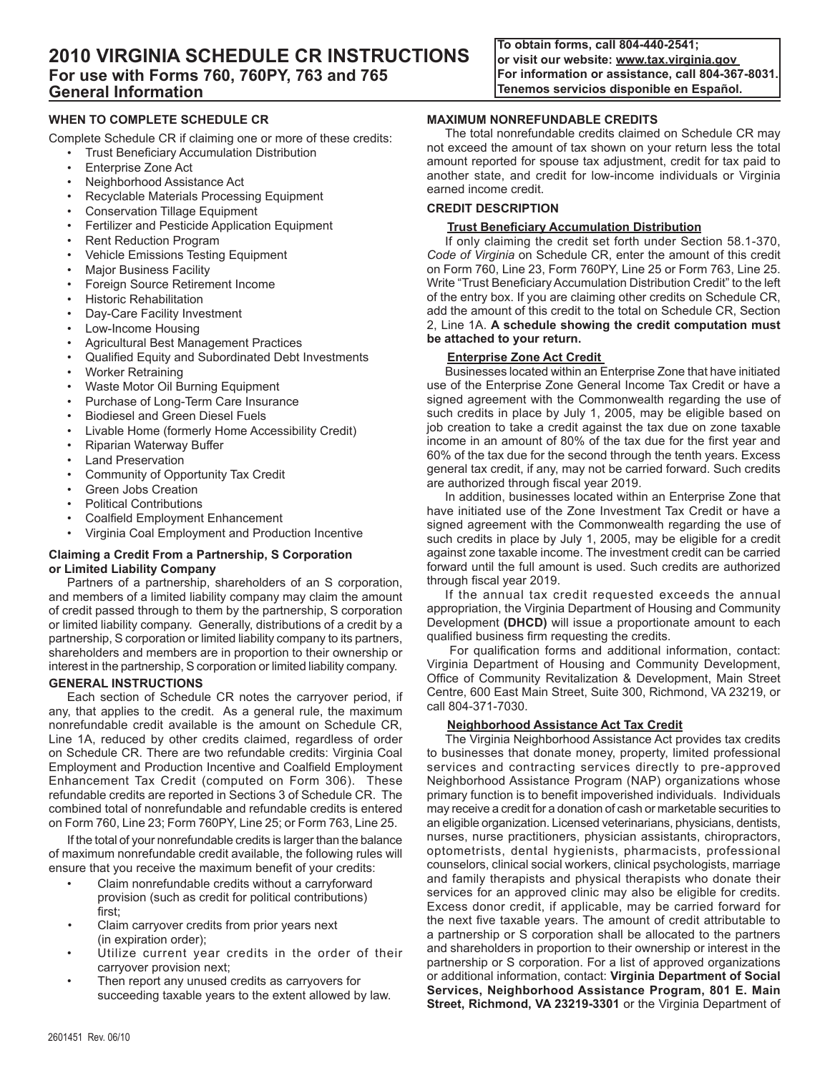**To obtain forms, call 804-440-2541; or visit our website: www.tax.virginia.gov For information or assistance, call 804-367-8031. Tenemos servicios disponible en Español.**

# **When To Complete Schedule CR**

Complete Schedule CR if claiming one or more of these credits:

- **Trust Beneficiary Accumulation Distribution**
- Enterprise Zone Act
- Neighborhood Assistance Act
- Recyclable Materials Processing Equipment
- Conservation Tillage Equipment
- Fertilizer and Pesticide Application Equipment
- Rent Reduction Program
- Vehicle Emissions Testing Equipment
- Major Business Facility
- Foreign Source Retirement Income
- Historic Rehabilitation
- Day-Care Facility Investment
- Low-Income Housing
- Agricultural Best Management Practices
- Qualified Equity and Subordinated Debt Investments
- Worker Retraining
- Waste Motor Oil Burning Equipment
- Purchase of Long-Term Care Insurance
- Biodiesel and Green Diesel Fuels
- Livable Home (formerly Home Accessibility Credit)
- Riparian Waterway Buffer
- **Land Preservation**
- Community of Opportunity Tax Credit
- Green Jobs Creation
- Political Contributions
- Coalfield Employment Enhancement
- Virginia Coal Employment and Production Incentive

# **Claiming a Credit From a Partnership, S Corporation or Limited Liability Company**

Partners of a partnership, shareholders of an S corporation, and members of a limited liability company may claim the amount of credit passed through to them by the partnership, S corporation or limited liability company. Generally, distributions of a credit by a partnership, S corporation or limited liability company to its partners, shareholders and members are in proportion to their ownership or interest in the partnership, S corporation or limited liability company.

# **GENERAL INSTRUCTIONS**

Each section of Schedule CR notes the carryover period, if any, that applies to the credit. As a general rule, the maximum nonrefundable credit available is the amount on Schedule CR, Line 1A, reduced by other credits claimed, regardless of order on Schedule CR. There are two refundable credits: Virginia Coal Employment and Production Incentive and Coalfield Employment Enhancement Tax Credit (computed on Form 306). These refundable credits are reported in Sections 3 of Schedule CR. The combined total of nonrefundable and refundable credits is entered on Form 760, Line 23; Form 760PY, Line 25; or Form 763, Line 25.

If the total of your nonrefundable credits is larger than the balance of maximum nonrefundable credit available, the following rules will ensure that you receive the maximum benefit of your credits:

- Claim nonrefundable credits without a carryforward provision (such as credit for political contributions) first;
- Claim carryover credits from prior years next (in expiration order);
- Utilize current year credits in the order of their carryover provision next;
- Then report any unused credits as carryovers for succeeding taxable years to the extent allowed by law.

# **MAXIMUM Nonrefundable CREDITS**

The total nonrefundable credits claimed on Schedule CR may not exceed the amount of tax shown on your return less the total amount reported for spouse tax adjustment, credit for tax paid to another state, and credit for low-income individuals or Virginia earned income credit.

# **CREDIT DESCRIPTION**

# **Trust Beneficiary Accumulation Distribution**

If only claiming the credit set forth under Section 58.1‑370, *Code of Virginia* on Schedule CR, enter the amount of this credit on Form 760, Line 23, Form 760PY, Line 25 or Form 763, Line 25. Write "Trust Beneficiary Accumulation Distribution Credit" to the left of the entry box. If you are claiming other credits on Schedule CR, add the amount of this credit to the total on Schedule CR, Section 2, Line 1A. **A schedule showing the credit computation must be attached to your return.**

# **Enterprise Zone Act Credit**

Businesses located within an Enterprise Zone that have initiated use of the Enterprise Zone General Income Tax Credit or have a signed agreement with the Commonwealth regarding the use of such credits in place by July 1, 2005, may be eligible based on job creation to take a credit against the tax due on zone taxable income in an amount of 80% of the tax due for the first year and 60% of the tax due for the second through the tenth years. Excess general tax credit, if any, may not be carried forward. Such credits are authorized through fiscal year 2019.

In addition, businesses located within an Enterprise Zone that have initiated use of the Zone Investment Tax Credit or have a signed agreement with the Commonwealth regarding the use of such credits in place by July 1, 2005, may be eligible for a credit against zone taxable income. The investment credit can be carried forward until the full amount is used. Such credits are authorized through fiscal year 2019.

If the annual tax credit requested exceeds the annual appropriation, the Virginia Department of Housing and Community Development **(DHCD)** will issue a proportionate amount to each qualified business firm requesting the credits.

 For qualification forms and additional information, contact: Virginia Department of Housing and Community Development, Office of Community Revitalization & Development, Main Street Centre, 600 East Main Street, Suite 300, Richmond, VA 23219, or call 804-371-7030.

# **Neighborhood Assistance Act Tax Credit**

The Virginia Neighborhood Assistance Act provides tax credits to businesses that donate money, property, limited professional services and contracting services directly to pre-approved Neighborhood Assistance Program (NAP) organizations whose primary function is to benefit impoverished individuals. Individuals may receive a credit for a donation of cash or marketable securities to an eligible organization. Licensed veterinarians, physicians, dentists, nurses, nurse practitioners, physician assistants, chiropractors, optometrists, dental hygienists, pharmacists, professional counselors, clinical social workers, clinical psychologists, marriage and family therapists and physical therapists who donate their services for an approved clinic may also be eligible for credits. Excess donor credit, if applicable, may be carried forward for the next five taxable years. The amount of credit attributable to a partnership or S corporation shall be allocated to the partners and shareholders in proportion to their ownership or interest in the partnership or S corporation. For a list of approved organizations or additional information, contact: **Virginia Department of Social Services, Neighborhood Assistance Program, 801 E. Main Street, Richmond, VA 23219-3301** or the Virginia Department of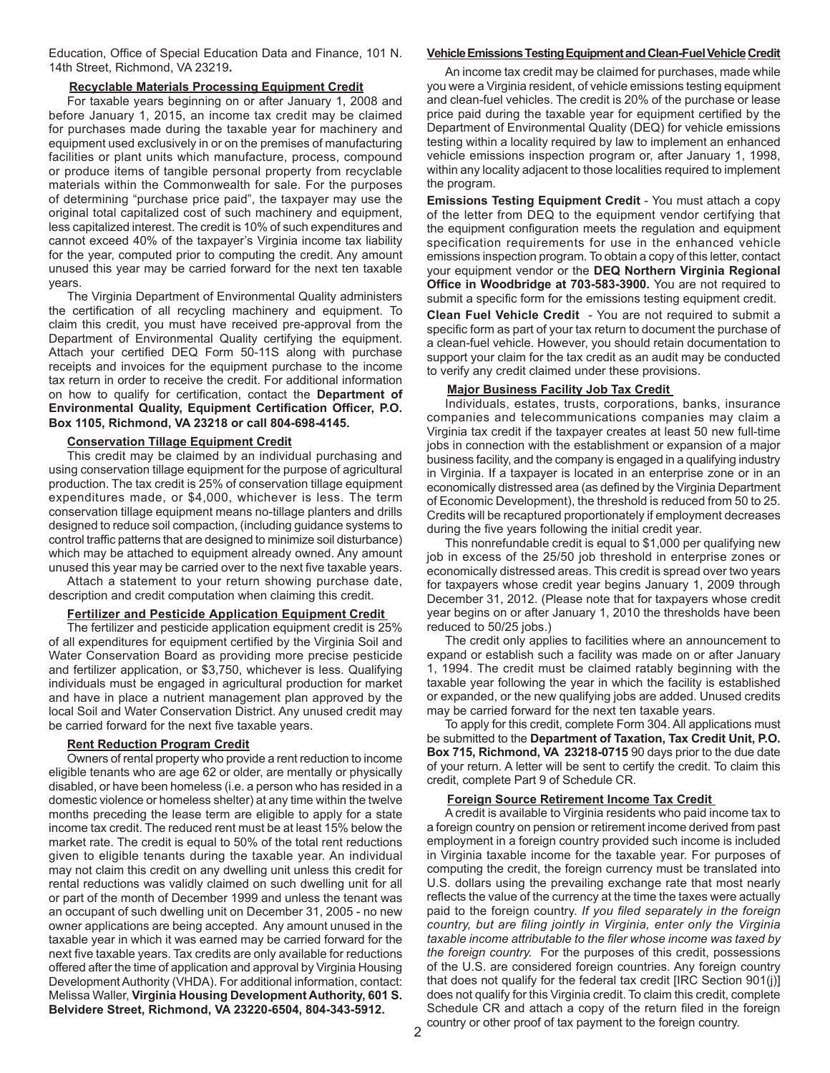Education, Office of Special Education Data and Finance, 101 N. 14th Street, Richmond, VA 23219**.**

# **Recyclable Materials Processing Equipment Credit**

For taxable years beginning on or after January 1, 2008 and before January 1, 2015, an income tax credit may be claimed for purchases made during the taxable year for machinery and equipment used exclusively in or on the premises of manufacturing facilities or plant units which manufacture, process, compound or produce items of tangible personal property from recyclable materials within the Commonwealth for sale. For the purposes of determining "purchase price paid", the taxpayer may use the original total capitalized cost of such machinery and equipment, less capitalized interest. The credit is 10% of such expenditures and cannot exceed 40% of the taxpayer's Virginia income tax liability for the year, computed prior to computing the credit. Any amount unused this year may be carried forward for the next ten taxable years.

The Virginia Department of Environmental Quality administers the certification of all recycling machinery and equipment. To claim this credit, you must have received pre-approval from the Department of Environmental Quality certifying the equipment. Attach your certified DEQ Form 50-11S along with purchase receipts and invoices for the equipment purchase to the income tax return in order to receive the credit. For additional information on how to qualify for certification, contact the **Department of Environmental Quality, Equipment Certification Officer, P.O. Box 1105, Richmond, VA 23218 or call 804-698-4145.**

# **Conservation Tillage Equipment Credit**

This credit may be claimed by an individual purchasing and using conservation tillage equipment for the purpose of agricultural production. The tax credit is 25% of conservation tillage equipment expenditures made, or \$4,000, whichever is less. The term conservation tillage equipment means no-tillage planters and drills designed to reduce soil compaction, (including guidance systems to control traffic patterns that are designed to minimize soil disturbance) which may be attached to equipment already owned. Any amount unused this year may be carried over to the next five taxable years.

Attach a statement to your return showing purchase date, description and credit computation when claiming this credit.

# **Fertilizer and Pesticide Application Equipment Credit**

The fertilizer and pesticide application equipment credit is 25% of all expenditures for equipment certified by the Virginia Soil and Water Conservation Board as providing more precise pesticide and fertilizer application, or \$3,750, whichever is less. Qualifying individuals must be engaged in agricultural production for market and have in place a nutrient management plan approved by the local Soil and Water Conservation District. Any unused credit may be carried forward for the next five taxable years.

# **Rent Reduction Program Credit**

Owners of rental property who provide a rent reduction to income eligible tenants who are age 62 or older, are mentally or physically disabled, or have been homeless (i.e. a person who has resided in a domestic violence or homeless shelter) at any time within the twelve months preceding the lease term are eligible to apply for a state income tax credit. The reduced rent must be at least 15% below the market rate. The credit is equal to 50% of the total rent reductions given to eligible tenants during the taxable year. An individual may not claim this credit on any dwelling unit unless this credit for rental reductions was validly claimed on such dwelling unit for all or part of the month of December 1999 and unless the tenant was an occupant of such dwelling unit on December 31, 2005 - no new owner applications are being accepted. Any amount unused in the taxable year in which it was earned may be carried forward for the next five taxable years. Tax credits are only available for reductions offered after the time of application and approval by Virginia Housing Development Authority (VHDA). For additional information, contact: Melissa Waller, **Virginia Housing Development Authority, 601 S. Belvidere Street, Richmond, VA 23220-6504, 804-343-5912.**

# **Vehicle Emissions Testing Equipment and Clean-Fuel Vehicle Credit**

An income tax credit may be claimed for purchases, made while you were a Virginia resident, of vehicle emissions testing equipment and clean-fuel vehicles. The credit is 20% of the purchase or lease price paid during the taxable year for equipment certified by the Department of Environmental Quality (DEQ) for vehicle emissions testing within a locality required by law to implement an enhanced vehicle emissions inspection program or, after January 1, 1998, within any locality adjacent to those localities required to implement the program.

**Emissions Testing Equipment Credit** - You must attach a copy of the letter from DEQ to the equipment vendor certifying that the equipment configuration meets the regulation and equipment specification requirements for use in the enhanced vehicle emissions inspection program. To obtain a copy of this letter, contact your equipment vendor or the **DEQ Northern Virginia Regional Office in Woodbridge at 703-583-3900.** You are not required to submit a specific form for the emissions testing equipment credit.

**Clean Fuel Vehicle Credit** - You are not required to submit a specific form as part of your tax return to document the purchase of a clean-fuel vehicle. However, you should retain documentation to support your claim for the tax credit as an audit may be conducted to verify any credit claimed under these provisions.

# **Major Business Facility Job Tax Credit**

Individuals, estates, trusts, corporations, banks, insurance companies and telecommunications companies may claim a Virginia tax credit if the taxpayer creates at least 50 new full-time jobs in connection with the establishment or expansion of a major business facility, and the company is engaged in a qualifying industry in Virginia. If a taxpayer is located in an enterprise zone or in an economically distressed area (as defined by the Virginia Department of Economic Development), the threshold is reduced from 50 to 25. Credits will be recaptured proportionately if employment decreases during the five years following the initial credit year.

This nonrefundable credit is equal to \$1,000 per qualifying new job in excess of the 25/50 job threshold in enterprise zones or economically distressed areas. This credit is spread over two years for taxpayers whose credit year begins January 1, 2009 through December 31, 2012. (Please note that for taxpayers whose credit year begins on or after January 1, 2010 the thresholds have been reduced to 50/25 jobs.)

The credit only applies to facilities where an announcement to expand or establish such a facility was made on or after January 1, 1994. The credit must be claimed ratably beginning with the taxable year following the year in which the facility is established or expanded, or the new qualifying jobs are added. Unused credits may be carried forward for the next ten taxable years.

To apply for this credit, complete Form 304. All applications must be submitted to the **Department of Taxation, Tax Credit Unit, P.O. Box 715, Richmond, VA 23218-0715** 90 days prior to the due date of your return. A letter will be sent to certify the credit. To claim this credit, complete Part 9 of Schedule CR.

# **Foreign Source Retirement Income Tax Credit**

A credit is available to Virginia residents who paid income tax to a foreign country on pension or retirement income derived from past employment in a foreign country provided such income is included in Virginia taxable income for the taxable year. For purposes of computing the credit, the foreign currency must be translated into U.S. dollars using the prevailing exchange rate that most nearly reflects the value of the currency at the time the taxes were actually paid to the foreign country. *If you filed separately in the foreign country, but are filing jointly in Virginia, enter only the Virginia taxable income attributable to the filer whose income was taxed by the foreign country.* For the purposes of this credit, possessions of the U.S. are considered foreign countries. Any foreign country that does not qualify for the federal tax credit [IRC Section 901(j)] does not qualify for this Virginia credit. To claim this credit, complete Schedule CR and attach a copy of the return filed in the foreign country or other proof of tax payment to the foreign country.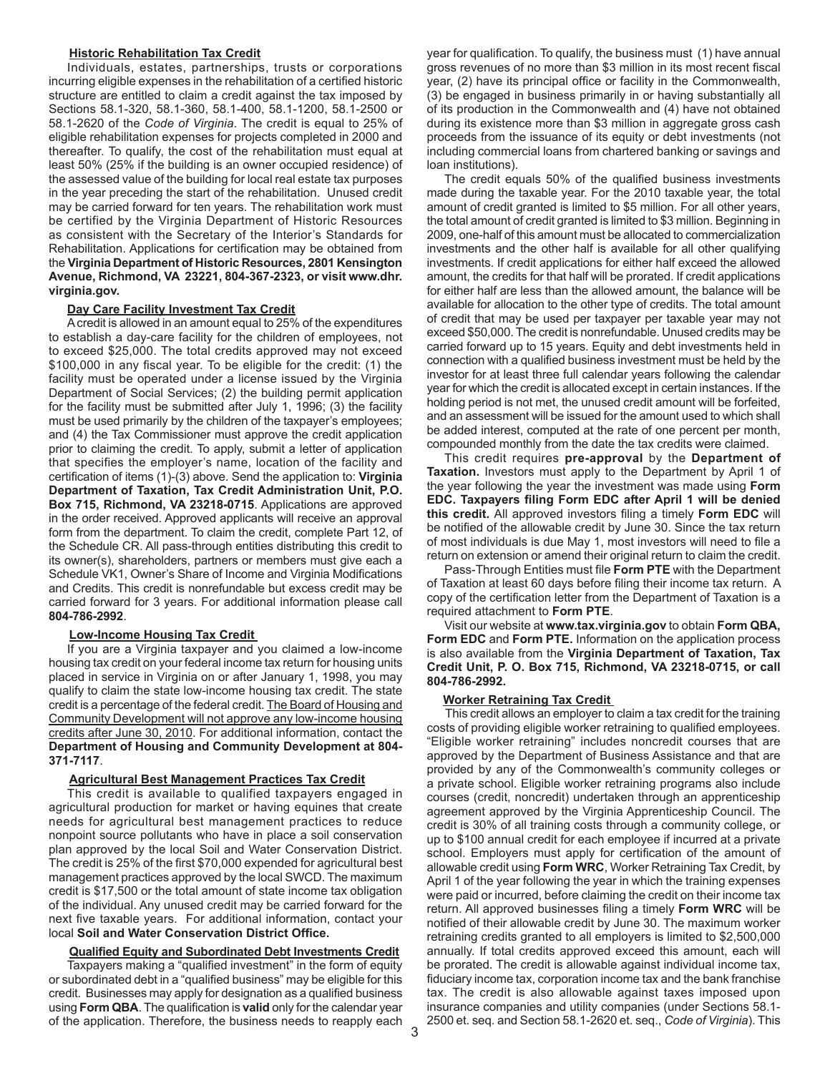# **Historic Rehabilitation Tax Credit**

Individuals, estates, partnerships, trusts or corporations incurring eligible expenses in the rehabilitation of a certified historic structure are entitled to claim a credit against the tax imposed by Sections 58.1-320, 58.1-360, 58.1-400, 58.1-1200, 58.1-2500 or 58.1-2620 of the *Code of Virginia*. The credit is equal to 25% of eligible rehabilitation expenses for projects completed in 2000 and thereafter. To qualify, the cost of the rehabilitation must equal at least 50% (25% if the building is an owner occupied residence) of the assessed value of the building for local real estate tax purposes in the year preceding the start of the rehabilitation. Unused credit may be carried forward for ten years. The rehabilitation work must be certified by the Virginia Department of Historic Resources as consistent with the Secretary of the Interior's Standards for Rehabilitation. Applications for certification may be obtained from the **Virginia Department of Historic Resources, 2801 Kensington Avenue, Richmond, VA 23221, 804-367-2323, or visit www.dhr. virginia.gov.** 

# **Day Care Facility Investment Tax Credit**

A credit is allowed in an amount equal to 25% of the expenditures to establish a day-care facility for the children of employees, not to exceed \$25,000. The total credits approved may not exceed \$100,000 in any fiscal year. To be eligible for the credit: (1) the facility must be operated under a license issued by the Virginia Department of Social Services; (2) the building permit application for the facility must be submitted after July 1, 1996; (3) the facility must be used primarily by the children of the taxpayer's employees; and (4) the Tax Commissioner must approve the credit application prior to claiming the credit. To apply, submit a letter of application that specifies the employer's name, location of the facility and certification of items (1)-(3) above. Send the application to: **Virginia Department of Taxation, Tax Credit Administration Unit, P.O. Box 715, Richmond, VA 23218-0715**. Applications are approved in the order received. Approved applicants will receive an approval form from the department. To claim the credit, complete Part 12, of the Schedule CR. All pass-through entities distributing this credit to its owner(s), shareholders, partners or members must give each a Schedule VK1, Owner's Share of Income and Virginia Modifications and Credits. This credit is nonrefundable but excess credit may be carried forward for 3 years. For additional information please call **804-786-2992**.

# **Low-Income Housing Tax Credit**

If you are a Virginia taxpayer and you claimed a low-income housing tax credit on your federal income tax return for housing units placed in service in Virginia on or after January 1, 1998, you may qualify to claim the state low-income housing tax credit. The state credit is a percentage of the federal credit. The Board of Housing and Community Development will not approve any low-income housing credits after June 30, 2010. For additional information, contact the **Department of Housing and Community Development at 804- 371-7117**.

#### **Agricultural Best Management Practices Tax Credit**

This credit is available to qualified taxpayers engaged in agricultural production for market or having equines that create needs for agricultural best management practices to reduce nonpoint source pollutants who have in place a soil conservation plan approved by the local Soil and Water Conservation District. The credit is 25% of the first \$70,000 expended for agricultural best management practices approved by the local SWCD. The maximum credit is \$17,500 or the total amount of state income tax obligation of the individual. Any unused credit may be carried forward for the next five taxable years. For additional information, contact your local **Soil and Water Conservation District Office.**

#### **Qualified Equity and Subordinated Debt Investments Credit**

Taxpayers making a "qualified investment" in the form of equity or subordinated debt in a "qualified business" may be eligible for this credit. Businesses may apply for designation as a qualified business using **Form QBA**. The qualification is **valid** only for the calendar year of the application. Therefore, the business needs to reapply each year for qualification. To qualify, the business must (1) have annual gross revenues of no more than \$3 million in its most recent fiscal year, (2) have its principal office or facility in the Commonwealth, (3) be engaged in business primarily in or having substantially all of its production in the Commonwealth and (4) have not obtained during its existence more than \$3 million in aggregate gross cash proceeds from the issuance of its equity or debt investments (not including commercial loans from chartered banking or savings and loan institutions).

The credit equals 50% of the qualified business investments made during the taxable year. For the 2010 taxable year, the total amount of credit granted is limited to \$5 million. For all other years, the total amount of credit granted is limited to \$3 million. Beginning in 2009, one-half of this amount must be allocated to commercialization investments and the other half is available for all other qualifying investments. If credit applications for either half exceed the allowed amount, the credits for that half will be prorated. If credit applications for either half are less than the allowed amount, the balance will be available for allocation to the other type of credits. The total amount of credit that may be used per taxpayer per taxable year may not exceed \$50,000. The credit is nonrefundable. Unused credits may be carried forward up to 15 years. Equity and debt investments held in connection with a qualified business investment must be held by the investor for at least three full calendar years following the calendar year for which the credit is allocated except in certain instances. If the holding period is not met, the unused credit amount will be forfeited, and an assessment will be issued for the amount used to which shall be added interest, computed at the rate of one percent per month, compounded monthly from the date the tax credits were claimed.

This credit requires **pre-approval** by the **Department of Taxation.** Investors must apply to the Department by April 1 of the year following the year the investment was made using **Form EDC. Taxpayers filing Form EDC after April 1 will be denied this credit.** All approved investors filing a timely **Form EDC** will be notified of the allowable credit by June 30. Since the tax return of most individuals is due May 1, most investors will need to file a return on extension or amend their original return to claim the credit.

Pass-Through Entities must file **Form PTE** with the Department of Taxation at least 60 days before filing their income tax return. A copy of the certification letter from the Department of Taxation is a required attachment to **Form PTE**.

Visit our website at **www.tax.virginia.gov** to obtain **Form QBA, Form EDC** and **Form PTE.** Information on the application process is also available from the **Virginia Department of Taxation, Tax Credit Unit, P. O. Box 715, Richmond, VA 23218-0715, or call 804-786-2992.**

#### **Worker Retraining Tax Credit**

This credit allows an employer to claim a tax credit for the training costs of providing eligible worker retraining to qualified employees. "Eligible worker retraining" includes noncredit courses that are approved by the Department of Business Assistance and that are provided by any of the Commonwealth's community colleges or a private school. Eligible worker retraining programs also include courses (credit, noncredit) undertaken through an apprenticeship agreement approved by the Virginia Apprenticeship Council. The credit is 30% of all training costs through a community college, or up to \$100 annual credit for each employee if incurred at a private school. Employers must apply for certification of the amount of allowable credit using **Form WRC**, Worker Retraining Tax Credit, by April 1 of the year following the year in which the training expenses were paid or incurred, before claiming the credit on their income tax return. All approved businesses filing a timely **Form WRC** will be notified of their allowable credit by June 30. The maximum worker retraining credits granted to all employers is limited to \$2,500,000 annually. If total credits approved exceed this amount, each will be prorated. The credit is allowable against individual income tax, fiduciary income tax, corporation income tax and the bank franchise tax. The credit is also allowable against taxes imposed upon insurance companies and utility companies (under Sections 58.1- 2500 et. seq. and Section 58.1-2620 et. seq., *Code of Virginia*). This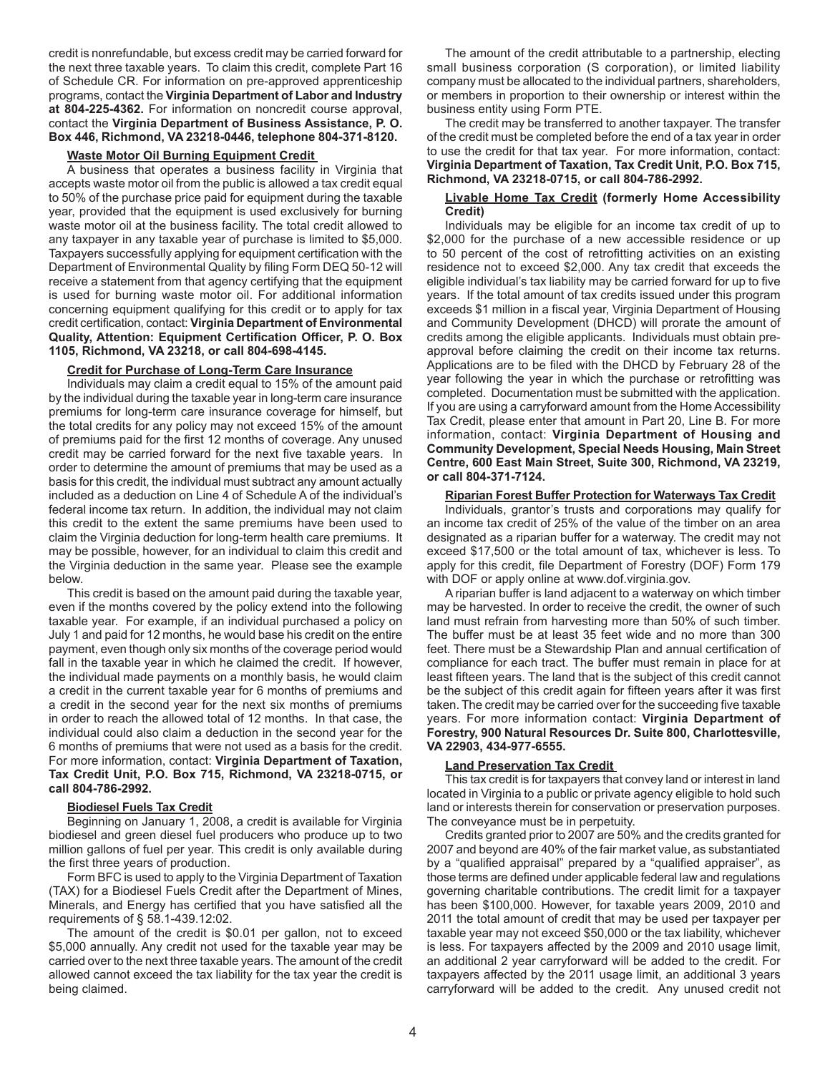credit is nonrefundable, but excess credit may be carried forward for the next three taxable years. To claim this credit, complete Part 16 of Schedule CR. For information on pre-approved apprenticeship programs, contact the **Virginia Department of Labor and Industry at 804-225-4362.** For information on noncredit course approval, contact the **Virginia Department of Business Assistance, P. O. Box 446, Richmond, VA 23218-0446, telephone 804-371-8120.**

#### **Waste Motor Oil Burning Equipment Credit**

A business that operates a business facility in Virginia that accepts waste motor oil from the public is allowed a tax credit equal to 50% of the purchase price paid for equipment during the taxable year, provided that the equipment is used exclusively for burning waste motor oil at the business facility. The total credit allowed to any taxpayer in any taxable year of purchase is limited to \$5,000. Taxpayers successfully applying for equipment certification with the Department of Environmental Quality by filing Form DEQ 50-12 will receive a statement from that agency certifying that the equipment is used for burning waste motor oil. For additional information concerning equipment qualifying for this credit or to apply for tax credit certification, contact: **Virginia Department of Environmental Quality, Attention: Equipment Certification Officer, P. O. Box 1105, Richmond, VA 23218, or call 804-698-4145.**

#### **Credit for Purchase of Long-Term Care Insurance**

Individuals may claim a credit equal to 15% of the amount paid by the individual during the taxable year in long-term care insurance premiums for long-term care insurance coverage for himself, but the total credits for any policy may not exceed 15% of the amount of premiums paid for the first 12 months of coverage. Any unused credit may be carried forward for the next five taxable years. In order to determine the amount of premiums that may be used as a basis for this credit, the individual must subtract any amount actually included as a deduction on Line 4 of Schedule A of the individual's federal income tax return. In addition, the individual may not claim this credit to the extent the same premiums have been used to claim the Virginia deduction for long-term health care premiums. It may be possible, however, for an individual to claim this credit and the Virginia deduction in the same year. Please see the example below.

This credit is based on the amount paid during the taxable year, even if the months covered by the policy extend into the following taxable year. For example, if an individual purchased a policy on July 1 and paid for 12 months, he would base his credit on the entire payment, even though only six months of the coverage period would fall in the taxable year in which he claimed the credit. If however, the individual made payments on a monthly basis, he would claim a credit in the current taxable year for 6 months of premiums and a credit in the second year for the next six months of premiums in order to reach the allowed total of 12 months. In that case, the individual could also claim a deduction in the second year for the 6 months of premiums that were not used as a basis for the credit. For more information, contact: **Virginia Department of Taxation, Tax Credit Unit, P.O. Box 715, Richmond, VA 23218-0715, or call 804-786-2992.**

#### **Biodiesel Fuels Tax Credit**

Beginning on January 1, 2008, a credit is available for Virginia biodiesel and green diesel fuel producers who produce up to two million gallons of fuel per year. This credit is only available during the first three years of production.

Form BFC is used to apply to the Virginia Department of Taxation (TAX) for a Biodiesel Fuels Credit after the Department of Mines, Minerals, and Energy has certified that you have satisfied all the requirements of § 58.1-439.12:02.

The amount of the credit is \$0.01 per gallon, not to exceed \$5,000 annually. Any credit not used for the taxable year may be carried over to the next three taxable years. The amount of the credit allowed cannot exceed the tax liability for the tax year the credit is being claimed.

The amount of the credit attributable to a partnership, electing small business corporation (S corporation), or limited liability company must be allocated to the individual partners, shareholders, or members in proportion to their ownership or interest within the business entity using Form PTE.

The credit may be transferred to another taxpayer. The transfer of the credit must be completed before the end of a tax year in order to use the credit for that tax year. For more information, contact: **Virginia Department of Taxation, Tax Credit Unit, P.O. Box 715, Richmond, VA 23218-0715, or call 804-786-2992.**

#### **Livable Home Tax Credit (formerly Home Accessibility Credit)**

Individuals may be eligible for an income tax credit of up to \$2,000 for the purchase of a new accessible residence or up to 50 percent of the cost of retrofitting activities on an existing residence not to exceed \$2,000. Any tax credit that exceeds the eligible individual's tax liability may be carried forward for up to five years. If the total amount of tax credits issued under this program exceeds \$1 million in a fiscal year, Virginia Department of Housing and Community Development (DHCD) will prorate the amount of credits among the eligible applicants. Individuals must obtain preapproval before claiming the credit on their income tax returns. Applications are to be filed with the DHCD by February 28 of the year following the year in which the purchase or retrofitting was completed. Documentation must be submitted with the application. If you are using a carryforward amount from the Home Accessibility Tax Credit, please enter that amount in Part 20, Line B. For more information, contact: **Virginia Department of Housing and Community Development, Special Needs Housing, Main Street Centre, 600 East Main Street, Suite 300, Richmond, VA 23219, or call 804-371-7124.**

#### **Riparian Forest Buffer Protection for Waterways Tax Credit**

Individuals, grantor's trusts and corporations may qualify for an income tax credit of 25% of the value of the timber on an area designated as a riparian buffer for a waterway. The credit may not exceed \$17,500 or the total amount of tax, whichever is less. To apply for this credit, file Department of Forestry (DOF) Form 179 with DOF or apply online at www.dof.virginia.gov.

A riparian buffer is land adjacent to a waterway on which timber may be harvested. In order to receive the credit, the owner of such land must refrain from harvesting more than 50% of such timber. The buffer must be at least 35 feet wide and no more than 300 feet. There must be a Stewardship Plan and annual certification of compliance for each tract. The buffer must remain in place for at least fifteen years. The land that is the subject of this credit cannot be the subject of this credit again for fifteen years after it was first taken. The credit may be carried over for the succeeding five taxable years. For more information contact: **Virginia Department of Forestry, 900 Natural Resources Dr. Suite 800, Charlottesville, VA 22903, 434-977-6555.** 

# **Land Preservation Tax Credit**

This tax credit is for taxpayers that convey land or interest in land located in Virginia to a public or private agency eligible to hold such land or interests therein for conservation or preservation purposes. The conveyance must be in perpetuity.

Credits granted prior to 2007 are 50% and the credits granted for 2007 and beyond are 40% of the fair market value, as substantiated by a "qualified appraisal" prepared by a "qualified appraiser", as those terms are defined under applicable federal law and regulations governing charitable contributions. The credit limit for a taxpayer has been \$100,000. However, for taxable years 2009, 2010 and 2011 the total amount of credit that may be used per taxpayer per taxable year may not exceed \$50,000 or the tax liability, whichever is less. For taxpayers affected by the 2009 and 2010 usage limit, an additional 2 year carryforward will be added to the credit. For taxpayers affected by the 2011 usage limit, an additional 3 years carryforward will be added to the credit. Any unused credit not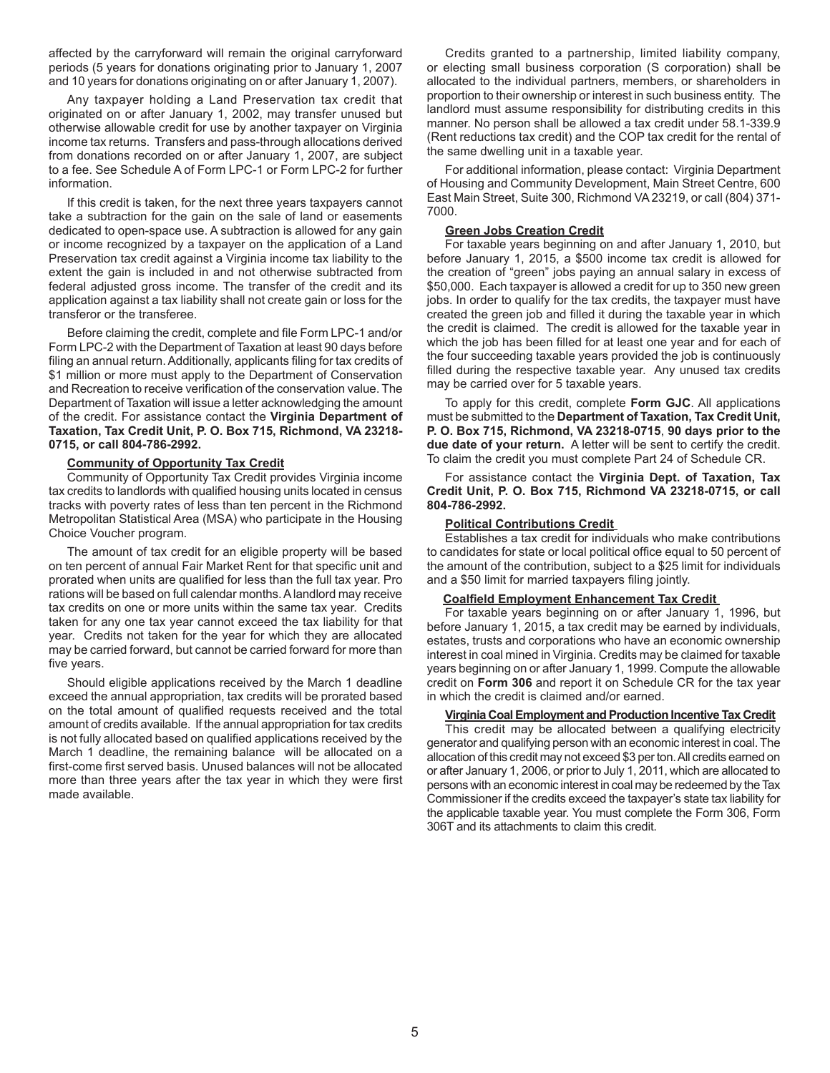affected by the carryforward will remain the original carryforward periods (5 years for donations originating prior to January 1, 2007 and 10 years for donations originating on or after January 1, 2007).

Any taxpayer holding a Land Preservation tax credit that originated on or after January 1, 2002, may transfer unused but otherwise allowable credit for use by another taxpayer on Virginia income tax returns. Transfers and pass-through allocations derived from donations recorded on or after January 1, 2007, are subject to a fee. See Schedule A of Form LPC-1 or Form LPC-2 for further information.

If this credit is taken, for the next three years taxpayers cannot take a subtraction for the gain on the sale of land or easements dedicated to open-space use. A subtraction is allowed for any gain or income recognized by a taxpayer on the application of a Land Preservation tax credit against a Virginia income tax liability to the extent the gain is included in and not otherwise subtracted from federal adjusted gross income. The transfer of the credit and its application against a tax liability shall not create gain or loss for the transferor or the transferee.

Before claiming the credit, complete and file Form LPC-1 and/or Form LPC-2 with the Department of Taxation at least 90 days before filing an annual return. Additionally, applicants filing for tax credits of \$1 million or more must apply to the Department of Conservation and Recreation to receive verification of the conservation value. The Department of Taxation will issue a letter acknowledging the amount of the credit. For assistance contact the **Virginia Department of Taxation, Tax Credit Unit, P. O. Box 715, Richmond, VA 23218- 0715, or call 804-786-2992.**

#### **Community of Opportunity Tax Credit**

Community of Opportunity Tax Credit provides Virginia income tax credits to landlords with qualified housing units located in census tracks with poverty rates of less than ten percent in the Richmond Metropolitan Statistical Area (MSA) who participate in the Housing Choice Voucher program.

The amount of tax credit for an eligible property will be based on ten percent of annual Fair Market Rent for that specific unit and prorated when units are qualified for less than the full tax year. Pro rations will be based on full calendar months. A landlord may receive tax credits on one or more units within the same tax year. Credits taken for any one tax year cannot exceed the tax liability for that year. Credits not taken for the year for which they are allocated may be carried forward, but cannot be carried forward for more than five years.

Should eligible applications received by the March 1 deadline exceed the annual appropriation, tax credits will be prorated based on the total amount of qualified requests received and the total amount of credits available. If the annual appropriation for tax credits is not fully allocated based on qualified applications received by the March 1 deadline, the remaining balance will be allocated on a first-come first served basis. Unused balances will not be allocated more than three years after the tax year in which they were first made available.

Credits granted to a partnership, limited liability company, or electing small business corporation (S corporation) shall be allocated to the individual partners, members, or shareholders in proportion to their ownership or interest in such business entity. The landlord must assume responsibility for distributing credits in this manner. No person shall be allowed a tax credit under 58.1-339.9 (Rent reductions tax credit) and the COP tax credit for the rental of the same dwelling unit in a taxable year.

For additional information, please contact: Virginia Department of Housing and Community Development, Main Street Centre, 600 East Main Street, Suite 300, Richmond VA 23219, or call (804) 371- 7000.

# **Green Jobs Creation Credit**

For taxable years beginning on and after January 1, 2010, but before January 1, 2015, a \$500 income tax credit is allowed for the creation of "green" jobs paying an annual salary in excess of \$50,000. Each taxpayer is allowed a credit for up to 350 new green jobs. In order to qualify for the tax credits, the taxpayer must have created the green job and filled it during the taxable year in which the credit is claimed. The credit is allowed for the taxable year in which the job has been filled for at least one year and for each of the four succeeding taxable years provided the job is continuously filled during the respective taxable year. Any unused tax credits may be carried over for 5 taxable years.

To apply for this credit, complete **Form GJC**. All applications must be submitted to the **Department of Taxation, Tax Credit Unit, P. O. Box 715, Richmond, VA 23218-0715**, **90 days prior to the due date of your return.** A letter will be sent to certify the credit. To claim the credit you must complete Part 24 of Schedule CR.

For assistance contact the **Virginia Dept. of Taxation, Tax Credit Unit, P. O. Box 715, Richmond VA 23218-0715, or call 804-786-2992.**

# **Political Contributions Credit**

Establishes a tax credit for individuals who make contributions to candidates for state or local political office equal to 50 percent of the amount of the contribution, subject to a \$25 limit for individuals and a \$50 limit for married taxpayers filing jointly.

#### **Coalfield Employment Enhancement Tax Credit**

For taxable years beginning on or after January 1, 1996, but before January 1, 2015, a tax credit may be earned by individuals, estates, trusts and corporations who have an economic ownership interest in coal mined in Virginia. Credits may be claimed for taxable years beginning on or after January 1, 1999. Compute the allowable credit on **Form 306** and report it on Schedule CR for the tax year in which the credit is claimed and/or earned.

#### **Virginia Coal Employment and Production Incentive Tax Credit**

This credit may be allocated between a qualifying electricity generator and qualifying person with an economic interest in coal. The allocation of this credit may not exceed \$3 per ton. All credits earned on or after January 1, 2006, or prior to July 1, 2011, which are allocated to persons with an economic interest in coal may be redeemed by the Tax Commissioner if the credits exceed the taxpayer's state tax liability for the applicable taxable year. You must complete the Form 306, Form 306T and its attachments to claim this credit.